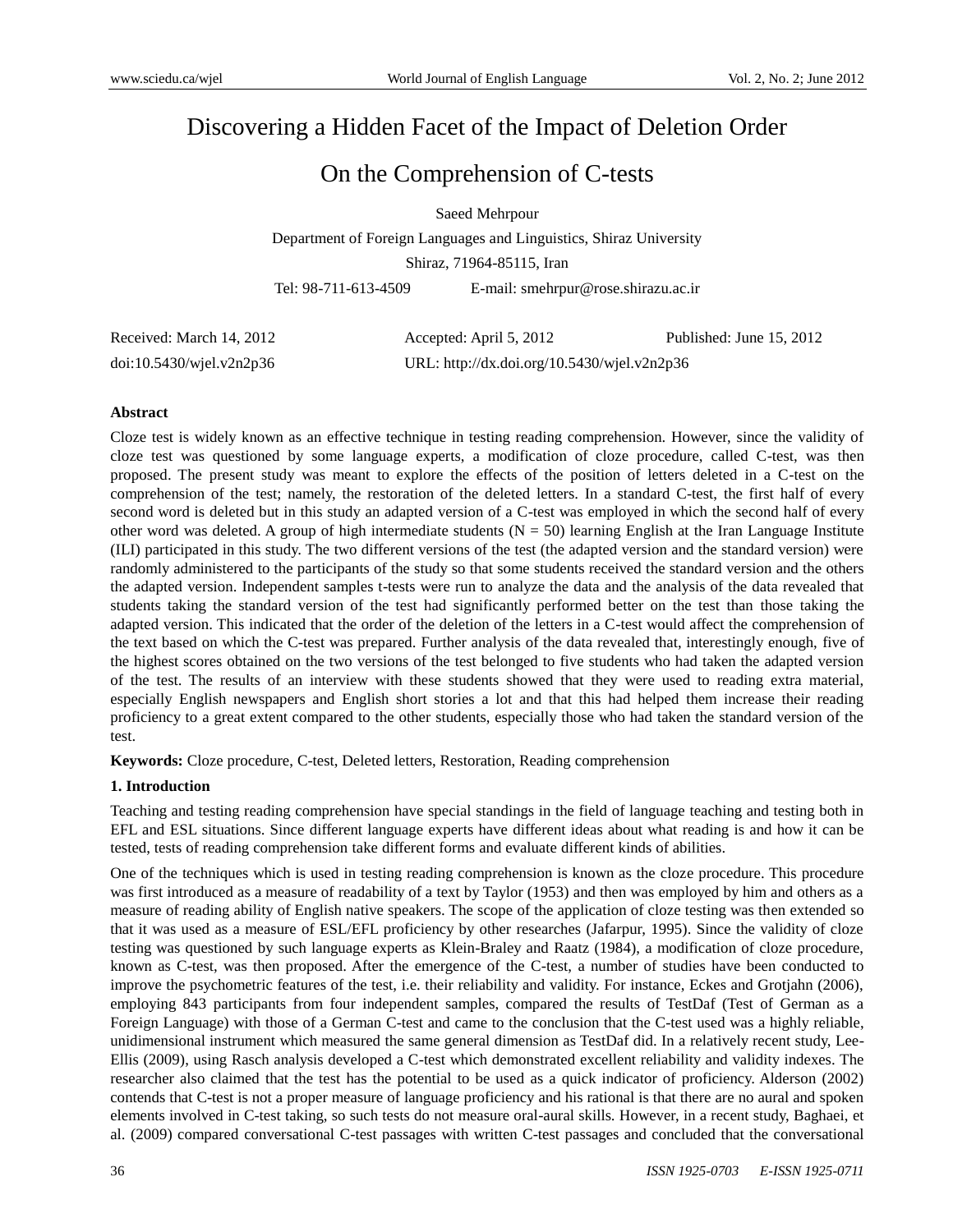# Discovering a Hidden Facet of the Impact of Deletion Order

# On the Comprehension of C-tests

Saeed Mehrpour

Department of Foreign Languages and Linguistics, Shiraz University Shiraz, 71964-85115, Iran

Tel: 98-711-613-4509 E-mail: smehrpur@rose.shirazu.ac.ir

| Received: March 14, 2012 | Accepted: April 5, 2012                     | Published: June 15, 2012 |
|--------------------------|---------------------------------------------|--------------------------|
| doi:10.5430/wjel.v2n2p36 | URL: http://dx.doi.org/10.5430/wjel.v2n2p36 |                          |

## **Abstract**

Cloze test is widely known as an effective technique in testing reading comprehension. However, since the validity of cloze test was questioned by some language experts, a modification of cloze procedure, called C-test, was then proposed. The present study was meant to explore the effects of the position of letters deleted in a C-test on the comprehension of the test; namely, the restoration of the deleted letters. In a standard C-test, the first half of every second word is deleted but in this study an adapted version of a C-test was employed in which the second half of every other word was deleted. A group of high intermediate students  $(N = 50)$  learning English at the Iran Language Institute (ILI) participated in this study. The two different versions of the test (the adapted version and the standard version) were randomly administered to the participants of the study so that some students received the standard version and the others the adapted version. Independent samples t-tests were run to analyze the data and the analysis of the data revealed that students taking the standard version of the test had significantly performed better on the test than those taking the adapted version. This indicated that the order of the deletion of the letters in a C-test would affect the comprehension of the text based on which the C-test was prepared. Further analysis of the data revealed that, interestingly enough, five of the highest scores obtained on the two versions of the test belonged to five students who had taken the adapted version of the test. The results of an interview with these students showed that they were used to reading extra material, especially English newspapers and English short stories a lot and that this had helped them increase their reading proficiency to a great extent compared to the other students, especially those who had taken the standard version of the test.

**Keywords:** Cloze procedure, C-test, Deleted letters, Restoration, Reading comprehension

# **1. Introduction**

Teaching and testing reading comprehension have special standings in the field of language teaching and testing both in EFL and ESL situations. Since different language experts have different ideas about what reading is and how it can be tested, tests of reading comprehension take different forms and evaluate different kinds of abilities.

One of the techniques which is used in testing reading comprehension is known as the cloze procedure. This procedure was first introduced as a measure of readability of a text by Taylor (1953) and then was employed by him and others as a measure of reading ability of English native speakers. The scope of the application of cloze testing was then extended so that it was used as a measure of ESL/EFL proficiency by other researches (Jafarpur, 1995). Since the validity of cloze testing was questioned by such language experts as Klein-Braley and Raatz (1984), a modification of cloze procedure, known as C-test, was then proposed. After the emergence of the C-test, a number of studies have been conducted to improve the psychometric features of the test, i.e. their reliability and validity. For instance, Eckes and Grotjahn (2006), employing 843 participants from four independent samples, compared the results of TestDaf (Test of German as a Foreign Language) with those of a German C-test and came to the conclusion that the C-test used was a highly reliable, unidimensional instrument which measured the same general dimension as TestDaf did. In a relatively recent study, Lee-Ellis (2009), using Rasch analysis developed a C-test which demonstrated excellent reliability and validity indexes. The researcher also claimed that the test has the potential to be used as a quick indicator of proficiency. Alderson (2002) contends that C-test is not a proper measure of language proficiency and his rational is that there are no aural and spoken elements involved in C-test taking, so such tests do not measure oral-aural skills. However, in a recent study, Baghaei, et al. (2009) compared conversational C-test passages with written C-test passages and concluded that the conversational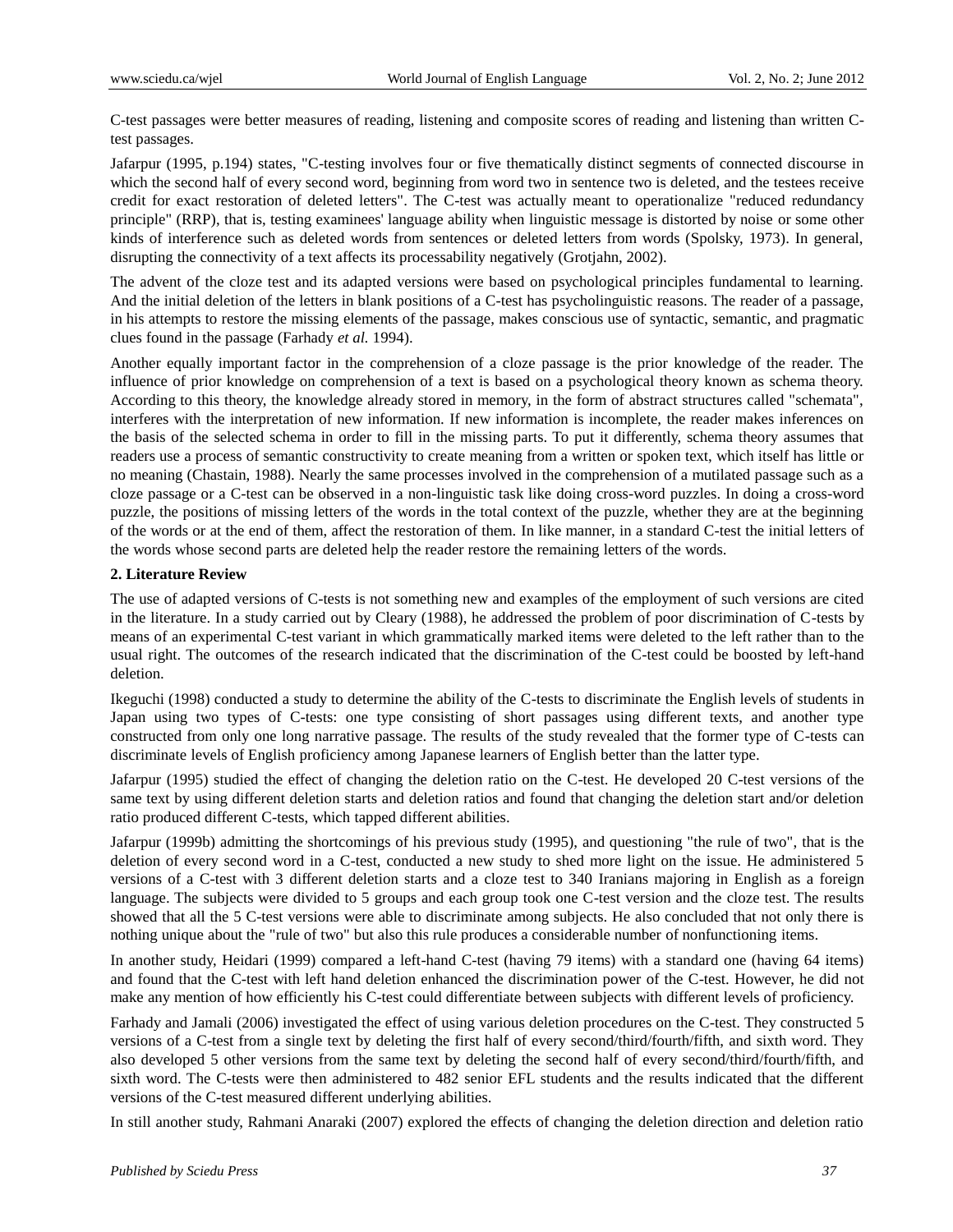C-test passages were better measures of reading, listening and composite scores of reading and listening than written Ctest passages.

Jafarpur (1995, p.194) states, "C-testing involves four or five thematically distinct segments of connected discourse in which the second half of every second word, beginning from word two in sentence two is deleted, and the testees receive credit for exact restoration of deleted letters". The C-test was actually meant to operationalize "reduced redundancy principle" (RRP), that is, testing examinees' language ability when linguistic message is distorted by noise or some other kinds of interference such as deleted words from sentences or deleted letters from words (Spolsky, 1973). In general, disrupting the connectivity of a text affects its processability negatively (Grotjahn, 2002).

The advent of the cloze test and its adapted versions were based on psychological principles fundamental to learning. And the initial deletion of the letters in blank positions of a C-test has psycholinguistic reasons. The reader of a passage, in his attempts to restore the missing elements of the passage, makes conscious use of syntactic, semantic, and pragmatic clues found in the passage (Farhady *et al.* 1994).

Another equally important factor in the comprehension of a cloze passage is the prior knowledge of the reader. The influence of prior knowledge on comprehension of a text is based on a psychological theory known as schema theory. According to this theory, the knowledge already stored in memory, in the form of abstract structures called "schemata", interferes with the interpretation of new information. If new information is incomplete, the reader makes inferences on the basis of the selected schema in order to fill in the missing parts. To put it differently, schema theory assumes that readers use a process of semantic constructivity to create meaning from a written or spoken text, which itself has little or no meaning (Chastain, 1988). Nearly the same processes involved in the comprehension of a mutilated passage such as a cloze passage or a C-test can be observed in a non-linguistic task like doing cross-word puzzles. In doing a cross-word puzzle, the positions of missing letters of the words in the total context of the puzzle, whether they are at the beginning of the words or at the end of them, affect the restoration of them. In like manner, in a standard C-test the initial letters of the words whose second parts are deleted help the reader restore the remaining letters of the words.

## **2. Literature Review**

The use of adapted versions of C-tests is not something new and examples of the employment of such versions are cited in the literature. In a study carried out by Cleary (1988), he addressed the problem of poor discrimination of C-tests by means of an experimental C-test variant in which grammatically marked items were deleted to the left rather than to the usual right. The outcomes of the research indicated that the discrimination of the C-test could be boosted by left-hand deletion.

Ikeguchi (1998) conducted a study to determine the ability of the C-tests to discriminate the English levels of students in Japan using two types of C-tests: one type consisting of short passages using different texts, and another type constructed from only one long narrative passage. The results of the study revealed that the former type of C-tests can discriminate levels of English proficiency among Japanese learners of English better than the latter type.

Jafarpur (1995) studied the effect of changing the deletion ratio on the C-test. He developed 20 C-test versions of the same text by using different deletion starts and deletion ratios and found that changing the deletion start and/or deletion ratio produced different C-tests, which tapped different abilities.

Jafarpur (1999b) admitting the shortcomings of his previous study (1995), and questioning "the rule of two", that is the deletion of every second word in a C-test, conducted a new study to shed more light on the issue. He administered 5 versions of a C-test with 3 different deletion starts and a cloze test to 340 Iranians majoring in English as a foreign language. The subjects were divided to 5 groups and each group took one C-test version and the cloze test. The results showed that all the 5 C-test versions were able to discriminate among subjects. He also concluded that not only there is nothing unique about the "rule of two" but also this rule produces a considerable number of nonfunctioning items.

In another study, Heidari (1999) compared a left-hand C-test (having 79 items) with a standard one (having 64 items) and found that the C-test with left hand deletion enhanced the discrimination power of the C-test. However, he did not make any mention of how efficiently his C-test could differentiate between subjects with different levels of proficiency.

Farhady and Jamali (2006) investigated the effect of using various deletion procedures on the C-test. They constructed 5 versions of a C-test from a single text by deleting the first half of every second/third/fourth/fifth, and sixth word. They also developed 5 other versions from the same text by deleting the second half of every second/third/fourth/fifth, and sixth word. The C-tests were then administered to 482 senior EFL students and the results indicated that the different versions of the C-test measured different underlying abilities.

In still another study, Rahmani Anaraki (2007) explored the effects of changing the deletion direction and deletion ratio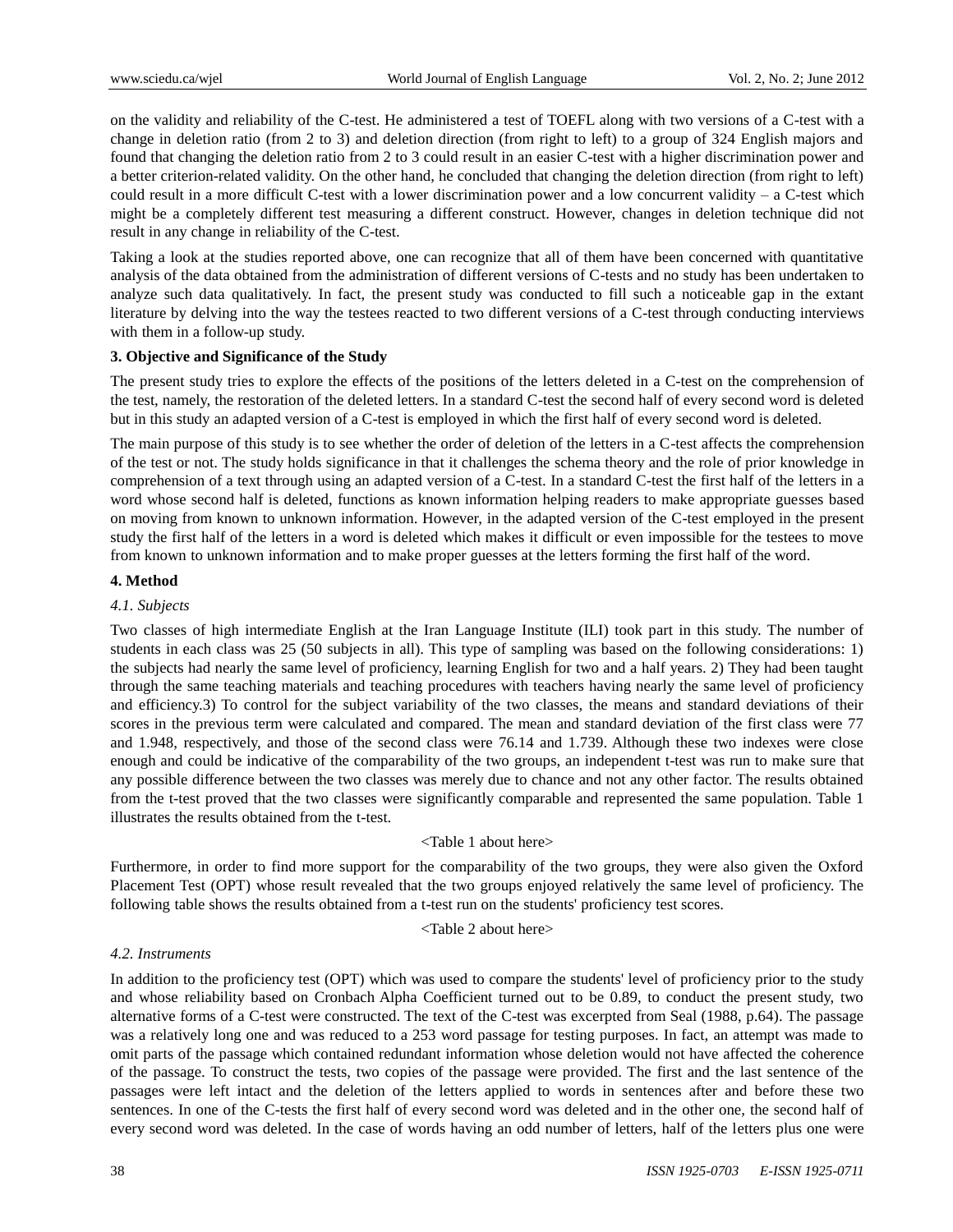on the validity and reliability of the C-test. He administered a test of TOEFL along with two versions of a C-test with a change in deletion ratio (from 2 to 3) and deletion direction (from right to left) to a group of 324 English majors and found that changing the deletion ratio from 2 to 3 could result in an easier C-test with a higher discrimination power and a better criterion-related validity. On the other hand, he concluded that changing the deletion direction (from right to left) could result in a more difficult C-test with a lower discrimination power and a low concurrent validity – a C-test which might be a completely different test measuring a different construct. However, changes in deletion technique did not result in any change in reliability of the C-test.

Taking a look at the studies reported above, one can recognize that all of them have been concerned with quantitative analysis of the data obtained from the administration of different versions of C-tests and no study has been undertaken to analyze such data qualitatively. In fact, the present study was conducted to fill such a noticeable gap in the extant literature by delving into the way the testees reacted to two different versions of a C-test through conducting interviews with them in a follow-up study.

## **3. Objective and Significance of the Study**

The present study tries to explore the effects of the positions of the letters deleted in a C-test on the comprehension of the test, namely, the restoration of the deleted letters. In a standard C-test the second half of every second word is deleted but in this study an adapted version of a C-test is employed in which the first half of every second word is deleted.

The main purpose of this study is to see whether the order of deletion of the letters in a C-test affects the comprehension of the test or not. The study holds significance in that it challenges the schema theory and the role of prior knowledge in comprehension of a text through using an adapted version of a C-test. In a standard C-test the first half of the letters in a word whose second half is deleted, functions as known information helping readers to make appropriate guesses based on moving from known to unknown information. However, in the adapted version of the C-test employed in the present study the first half of the letters in a word is deleted which makes it difficult or even impossible for the testees to move from known to unknown information and to make proper guesses at the letters forming the first half of the word.

## **4. Method**

## *4.1. Subjects*

Two classes of high intermediate English at the Iran Language Institute (ILI) took part in this study. The number of students in each class was 25 (50 subjects in all). This type of sampling was based on the following considerations: 1) the subjects had nearly the same level of proficiency, learning English for two and a half years. 2) They had been taught through the same teaching materials and teaching procedures with teachers having nearly the same level of proficiency and efficiency.3) To control for the subject variability of the two classes, the means and standard deviations of their scores in the previous term were calculated and compared. The mean and standard deviation of the first class were 77 and 1.948, respectively, and those of the second class were 76.14 and 1.739. Although these two indexes were close enough and could be indicative of the comparability of the two groups, an independent t-test was run to make sure that any possible difference between the two classes was merely due to chance and not any other factor. The results obtained from the t-test proved that the two classes were significantly comparable and represented the same population. Table 1 illustrates the results obtained from the t-test.

<Table 1 about here>

Furthermore, in order to find more support for the comparability of the two groups, they were also given the Oxford Placement Test (OPT) whose result revealed that the two groups enjoyed relatively the same level of proficiency. The following table shows the results obtained from a t-test run on the students' proficiency test scores.

## <Table 2 about here>

## *4.2. Instruments*

In addition to the proficiency test (OPT) which was used to compare the students' level of proficiency prior to the study and whose reliability based on Cronbach Alpha Coefficient turned out to be 0.89, to conduct the present study, two alternative forms of a C-test were constructed. The text of the C-test was excerpted from Seal (1988, p.64). The passage was a relatively long one and was reduced to a 253 word passage for testing purposes. In fact, an attempt was made to omit parts of the passage which contained redundant information whose deletion would not have affected the coherence of the passage. To construct the tests, two copies of the passage were provided. The first and the last sentence of the passages were left intact and the deletion of the letters applied to words in sentences after and before these two sentences. In one of the C-tests the first half of every second word was deleted and in the other one, the second half of every second word was deleted. In the case of words having an odd number of letters, half of the letters plus one were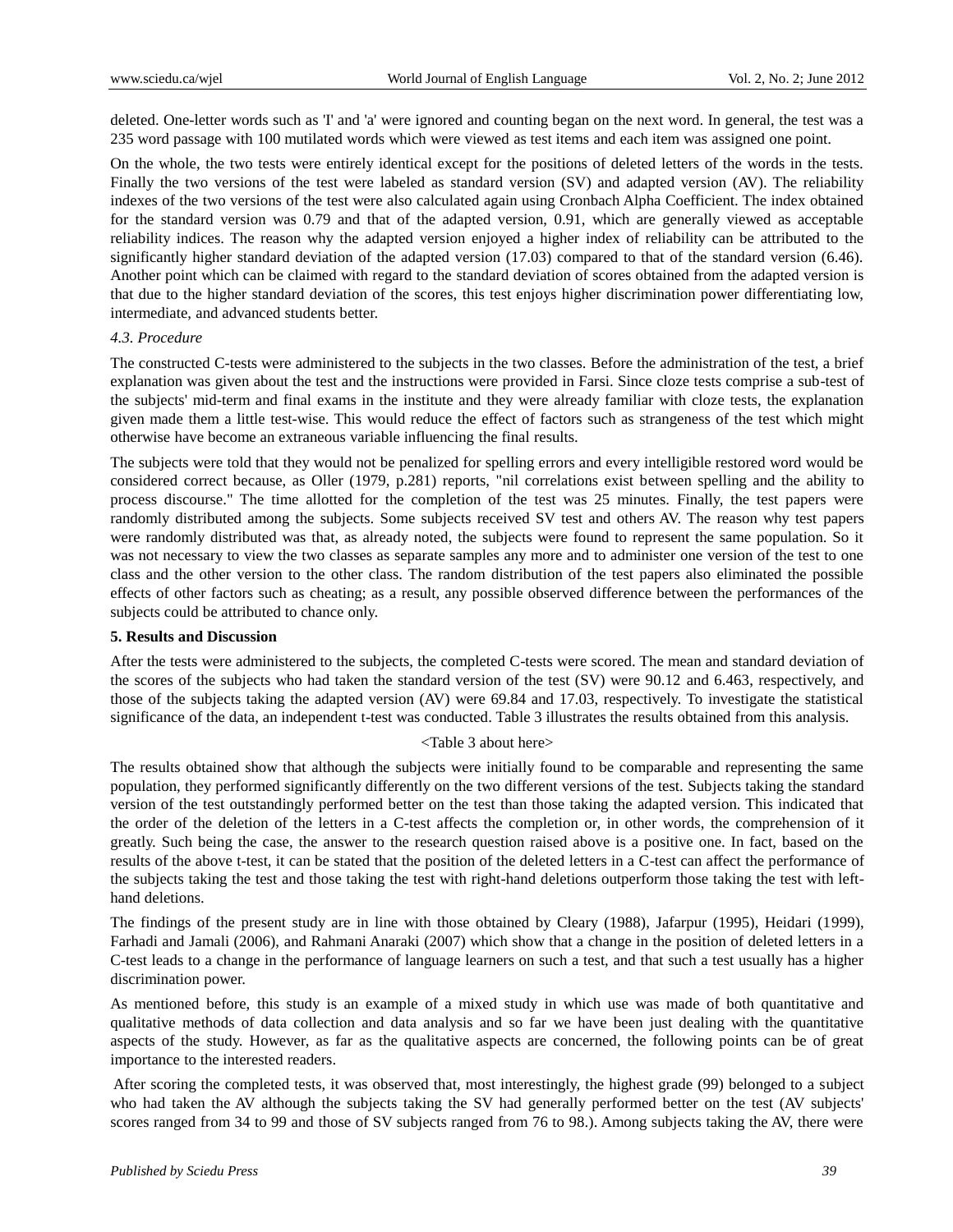deleted. One-letter words such as 'I' and 'a' were ignored and counting began on the next word. In general, the test was a 235 word passage with 100 mutilated words which were viewed as test items and each item was assigned one point.

On the whole, the two tests were entirely identical except for the positions of deleted letters of the words in the tests. Finally the two versions of the test were labeled as standard version (SV) and adapted version (AV). The reliability indexes of the two versions of the test were also calculated again using Cronbach Alpha Coefficient. The index obtained for the standard version was 0.79 and that of the adapted version, 0.91, which are generally viewed as acceptable reliability indices. The reason why the adapted version enjoyed a higher index of reliability can be attributed to the significantly higher standard deviation of the adapted version (17.03) compared to that of the standard version (6.46). Another point which can be claimed with regard to the standard deviation of scores obtained from the adapted version is that due to the higher standard deviation of the scores, this test enjoys higher discrimination power differentiating low, intermediate, and advanced students better.

## *4.3. Procedure*

The constructed C-tests were administered to the subjects in the two classes. Before the administration of the test, a brief explanation was given about the test and the instructions were provided in Farsi. Since cloze tests comprise a sub-test of the subjects' mid-term and final exams in the institute and they were already familiar with cloze tests, the explanation given made them a little test-wise. This would reduce the effect of factors such as strangeness of the test which might otherwise have become an extraneous variable influencing the final results.

The subjects were told that they would not be penalized for spelling errors and every intelligible restored word would be considered correct because, as Oller (1979, p.281) reports, "nil correlations exist between spelling and the ability to process discourse." The time allotted for the completion of the test was 25 minutes. Finally, the test papers were randomly distributed among the subjects. Some subjects received SV test and others AV. The reason why test papers were randomly distributed was that, as already noted, the subjects were found to represent the same population. So it was not necessary to view the two classes as separate samples any more and to administer one version of the test to one class and the other version to the other class. The random distribution of the test papers also eliminated the possible effects of other factors such as cheating; as a result, any possible observed difference between the performances of the subjects could be attributed to chance only.

#### **5. Results and Discussion**

After the tests were administered to the subjects, the completed C-tests were scored. The mean and standard deviation of the scores of the subjects who had taken the standard version of the test (SV) were 90.12 and 6.463, respectively, and those of the subjects taking the adapted version (AV) were 69.84 and 17.03, respectively. To investigate the statistical significance of the data, an independent t-test was conducted. Table 3 illustrates the results obtained from this analysis.

#### <Table 3 about here>

The results obtained show that although the subjects were initially found to be comparable and representing the same population, they performed significantly differently on the two different versions of the test. Subjects taking the standard version of the test outstandingly performed better on the test than those taking the adapted version. This indicated that the order of the deletion of the letters in a C-test affects the completion or, in other words, the comprehension of it greatly. Such being the case, the answer to the research question raised above is a positive one. In fact, based on the results of the above t-test, it can be stated that the position of the deleted letters in a C-test can affect the performance of the subjects taking the test and those taking the test with right-hand deletions outperform those taking the test with lefthand deletions.

The findings of the present study are in line with those obtained by Cleary (1988), Jafarpur (1995), Heidari (1999), Farhadi and Jamali (2006), and Rahmani Anaraki (2007) which show that a change in the position of deleted letters in a C-test leads to a change in the performance of language learners on such a test, and that such a test usually has a higher discrimination power.

As mentioned before, this study is an example of a mixed study in which use was made of both quantitative and qualitative methods of data collection and data analysis and so far we have been just dealing with the quantitative aspects of the study. However, as far as the qualitative aspects are concerned, the following points can be of great importance to the interested readers.

After scoring the completed tests, it was observed that, most interestingly, the highest grade (99) belonged to a subject who had taken the AV although the subjects taking the SV had generally performed better on the test (AV subjects' scores ranged from 34 to 99 and those of SV subjects ranged from 76 to 98.). Among subjects taking the AV, there were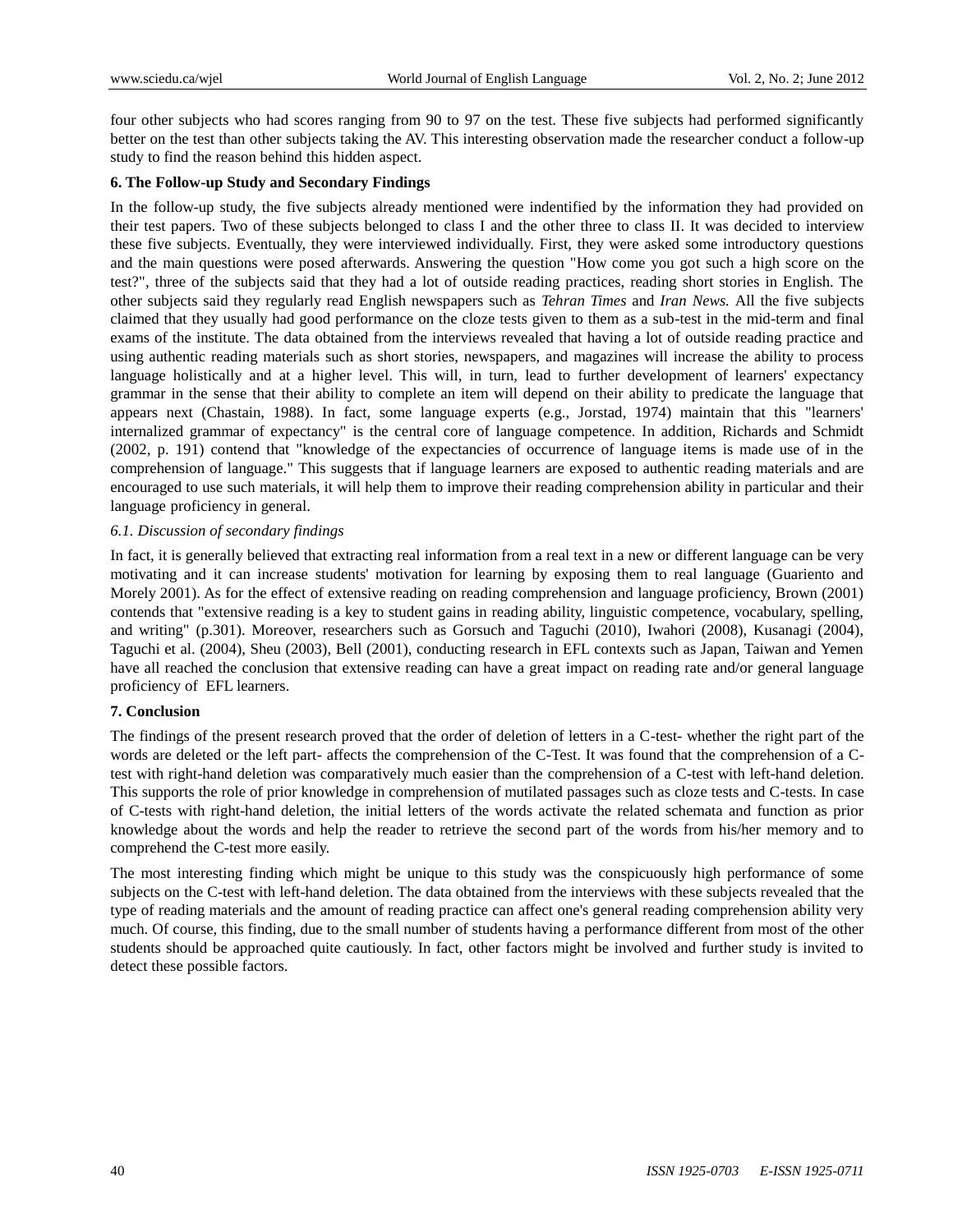four other subjects who had scores ranging from 90 to 97 on the test. These five subjects had performed significantly better on the test than other subjects taking the AV. This interesting observation made the researcher conduct a follow-up study to find the reason behind this hidden aspect.

## **6. The Follow-up Study and Secondary Findings**

In the follow-up study, the five subjects already mentioned were indentified by the information they had provided on their test papers. Two of these subjects belonged to class I and the other three to class II. It was decided to interview these five subjects. Eventually, they were interviewed individually. First, they were asked some introductory questions and the main questions were posed afterwards. Answering the question "How come you got such a high score on the test?", three of the subjects said that they had a lot of outside reading practices, reading short stories in English. The other subjects said they regularly read English newspapers such as *Tehran Times* and *Iran News.* All the five subjects claimed that they usually had good performance on the cloze tests given to them as a sub-test in the mid-term and final exams of the institute. The data obtained from the interviews revealed that having a lot of outside reading practice and using authentic reading materials such as short stories, newspapers, and magazines will increase the ability to process language holistically and at a higher level. This will, in turn, lead to further development of learners' expectancy grammar in the sense that their ability to complete an item will depend on their ability to predicate the language that appears next (Chastain, 1988). In fact, some language experts (e.g., Jorstad, 1974) maintain that this "learners' internalized grammar of expectancy" is the central core of language competence. In addition, Richards and Schmidt (2002, p. 191) contend that "knowledge of the expectancies of occurrence of language items is made use of in the comprehension of language." This suggests that if language learners are exposed to authentic reading materials and are encouraged to use such materials, it will help them to improve their reading comprehension ability in particular and their language proficiency in general.

## *6.1. Discussion of secondary findings*

In fact, it is generally believed that extracting real information from a real text in a new or different language can be very motivating and it can increase students' motivation for learning by exposing them to real language (Guariento and Morely 2001). As for the effect of extensive reading on reading comprehension and language proficiency, Brown (2001) contends that "extensive reading is a key to student gains in reading ability, linguistic competence, vocabulary, spelling, and writing" (p.301). Moreover, researchers such as Gorsuch and Taguchi (2010), Iwahori (2008), Kusanagi (2004), Taguchi et al. (2004), Sheu (2003), Bell (2001), conducting research in EFL contexts such as Japan, Taiwan and Yemen have all reached the conclusion that extensive reading can have a great impact on reading rate and/or general language proficiency of EFL learners.

## **7. Conclusion**

The findings of the present research proved that the order of deletion of letters in a C-test- whether the right part of the words are deleted or the left part- affects the comprehension of the C-Test. It was found that the comprehension of a Ctest with right-hand deletion was comparatively much easier than the comprehension of a C-test with left-hand deletion. This supports the role of prior knowledge in comprehension of mutilated passages such as cloze tests and C-tests. In case of C-tests with right-hand deletion, the initial letters of the words activate the related schemata and function as prior knowledge about the words and help the reader to retrieve the second part of the words from his/her memory and to comprehend the C-test more easily.

The most interesting finding which might be unique to this study was the conspicuously high performance of some subjects on the C-test with left-hand deletion. The data obtained from the interviews with these subjects revealed that the type of reading materials and the amount of reading practice can affect one's general reading comprehension ability very much. Of course, this finding, due to the small number of students having a performance different from most of the other students should be approached quite cautiously. In fact, other factors might be involved and further study is invited to detect these possible factors.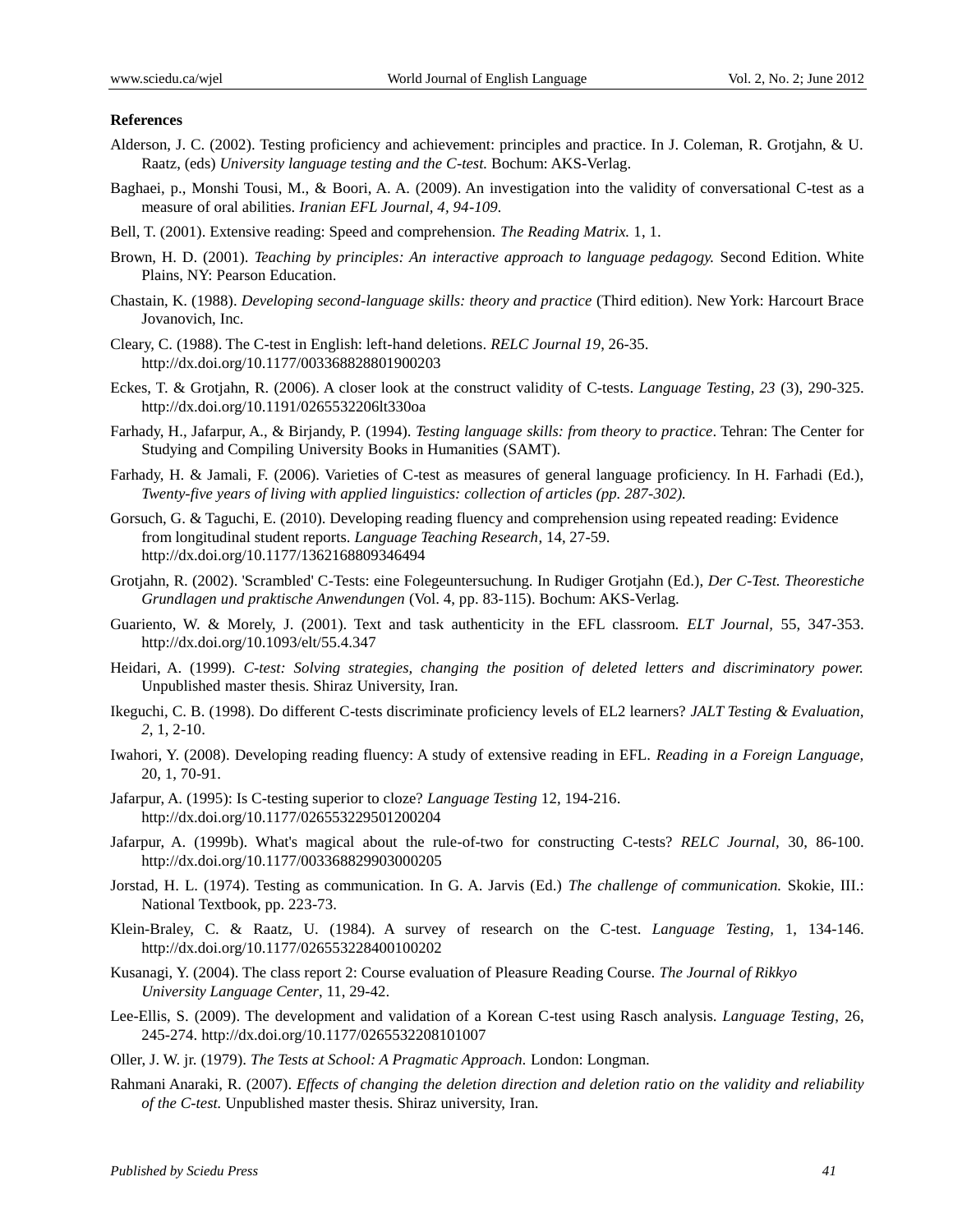#### **References**

- Alderson, J. C. (2002). Testing proficiency and achievement: principles and practice. In J. Coleman, R. Grotjahn, & U. Raatz, (eds) *University language testing and the C-test.* Bochum: AKS-Verlag.
- Baghaei, p., Monshi Tousi, M., & Boori, A. A. (2009). An investigation into the validity of conversational C-test as a measure of oral abilities. *Iranian EFL Journal, 4, 94-109.*
- Bell, T. (2001). Extensive reading: Speed and comprehension. *The Reading Matrix.* 1, 1.
- Brown, H. D. (2001). *Teaching by principles: An interactive approach to language pedagogy.* Second Edition. White Plains, NY: Pearson Education.
- Chastain, K. (1988). *Developing second-language skills: theory and practice* (Third edition). New York: Harcourt Brace Jovanovich, Inc.
- Cleary, C. (1988). The C-test in English: left-hand deletions. *RELC Journal 19*, 26-35. <http://dx.doi.org/10.1177/003368828801900203>
- Eckes, T. & Grotjahn, R. (2006). A closer look at the construct validity of C-tests. *Language Testing, 23* (3), 290-325. <http://dx.doi.org/10.1191/0265532206lt330oa>
- Farhady, H., Jafarpur, A., & Birjandy, P. (1994). *Testing language skills: from theory to practice*. Tehran: The Center for Studying and Compiling University Books in Humanities (SAMT).
- Farhady, H. & Jamali, F. (2006). Varieties of C-test as measures of general language proficiency. In H. Farhadi (Ed.), *Twenty-five years of living with applied linguistics: collection of articles (pp. 287-302).*
- Gorsuch, G. & Taguchi, E. (2010). Developing reading fluency and comprehension using repeated reading: Evidence from longitudinal student reports. *Language Teaching Research*, 14, 27-59. <http://dx.doi.org/10.1177/1362168809346494>
- Grotjahn, R. (2002). 'Scrambled' C-Tests: eine Folegeuntersuchung. In Rudiger Grotjahn (Ed.), *Der C-Test. Theorestiche Grundlagen und praktische Anwendungen* (Vol. 4, pp. 83-115). Bochum: AKS-Verlag.
- Guariento, W. & Morely, J. (2001). Text and task authenticity in the EFL classroom. *ELT Journal,* 55, 347-353. <http://dx.doi.org/10.1093/elt/55.4.347>
- Heidari, A. (1999). *C-test: Solving strategies, changing the position of deleted letters and discriminatory power.* Unpublished master thesis. Shiraz University, Iran.
- Ikeguchi, C. B. (1998). Do different C-tests discriminate proficiency levels of EL2 learners? *JALT Testing & Evaluation, 2*, 1, 2-10.
- Iwahori, Y. (2008). Developing reading fluency: A study of extensive reading in EFL. *Reading in a Foreign Language,*  20, 1, 70-91.
- Jafarpur, A. (1995): Is C-testing superior to cloze? *Language Testing* 12, 194-216. <http://dx.doi.org/10.1177/026553229501200204>
- Jafarpur, A. (1999b). What's magical about the rule-of-two for constructing C-tests? *RELC Journal,* 30, 86-100. <http://dx.doi.org/10.1177/003368829903000205>
- Jorstad, H. L. (1974). Testing as communication. In G. A. Jarvis (Ed.) *The challenge of communication.* Skokie, III.: National Textbook, pp. 223-73.
- Klein-Braley, C. & Raatz, U. (1984). A survey of research on the C-test. *Language Testing,* 1, 134-146. <http://dx.doi.org/10.1177/026553228400100202>
- Kusanagi, Y. (2004). The class report 2: Course evaluation of Pleasure Reading Course. *The Journal of Rikkyo University Language Center*, 11, 29-42.
- Lee-Ellis, S. (2009). The development and validation of a Korean C-test using Rasch analysis. *Language Testing*, 26, 245-274.<http://dx.doi.org/10.1177/0265532208101007>
- Oller, J. W. jr. (1979). *The Tests at School: A Pragmatic Approach.* London: Longman.
- Rahmani Anaraki, R. (2007). *Effects of changing the deletion direction and deletion ratio on the validity and reliability of the C-test.* Unpublished master thesis. Shiraz university, Iran.